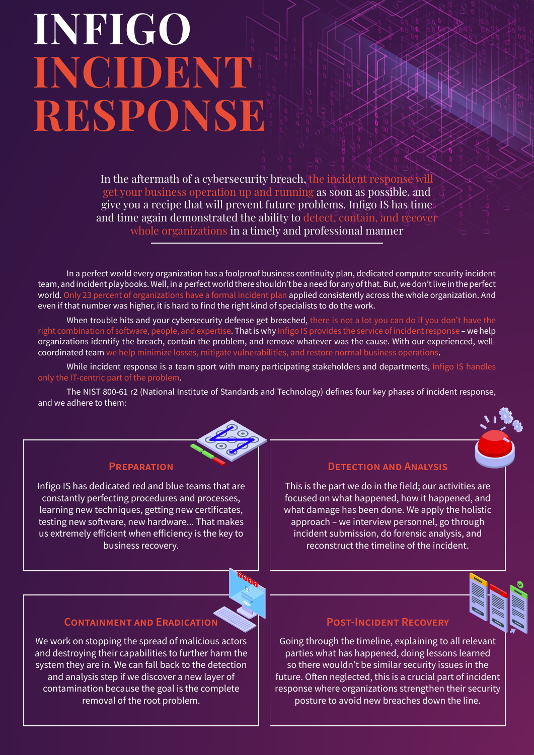# **INFIGO INCIDENT RESPONSE**

In the aftermath of a cybersecurity breach, the incident response will get your business operation up and running as soon as possible, and give you a recipe that will prevent future problems. Infigo IS has time and time again demonstrated the ability to detect, contain, and recover whole organizations in a timely and professional manner

In a perfect world every organization has a foolproof business continuity plan, dedicated computer security incident team, and incident playbooks. Well, in a perfect world there shouldn't be a need for any of that. But, we don't live in the perfect world. Only 23 percent of organizations have a formal incident plan applied consistently across the whole organization. And even if that number was higher, it is hard to find the right kind of specialists to do the work.

When trouble hits and your cybersecurity defense get breached, there is not a lot you can do if you don't have the right combination of software, people, and expertise. That is why Infigo IS provides the service of incident response – we help organizations identify the breach, contain the problem, and remove whatever was the cause. With our experienced, wellcoordinated team we help minimize losses, mitigate vulnerabilities, and restore normal business operations.

While incident response is a team sport with many participating stakeholders and departments, Infigo IS handles

The NIST 800-61 r2 (National Institute of Standards and Technology) defines four key phases of incident response, and we adhere to them:



## **Preparation**

Infigo IS has dedicated red and blue teams that are constantly perfecting procedures and processes, learning new techniques, getting new certificates, testing new software, new hardware... That makes us extremely efficient when efficiency is the key to business recovery.

# **Detection and Analysis**

This is the part we do in the field; our activities are focused on what happened, how it happened, and what damage has been done. We apply the holistic approach – we interview personnel, go through incident submission, do forensic analysis, and reconstruct the timeline of the incident.



## **POST-INCIDENT RECOVERY**

Going through the timeline, explaining to all relevant parties what has happened, doing lessons learned so there wouldn't be similar security issues in the future. Often neglected, this is a crucial part of incident response where organizations strengthen their security posture to avoid new breaches down the line.

# **Containment and Eradication**

We work on stopping the spread of malicious actors and destroying their capabilities to further harm the system they are in. We can fall back to the detection and analysis step if we discover a new layer of contamination because the goal is the complete removal of the root problem.